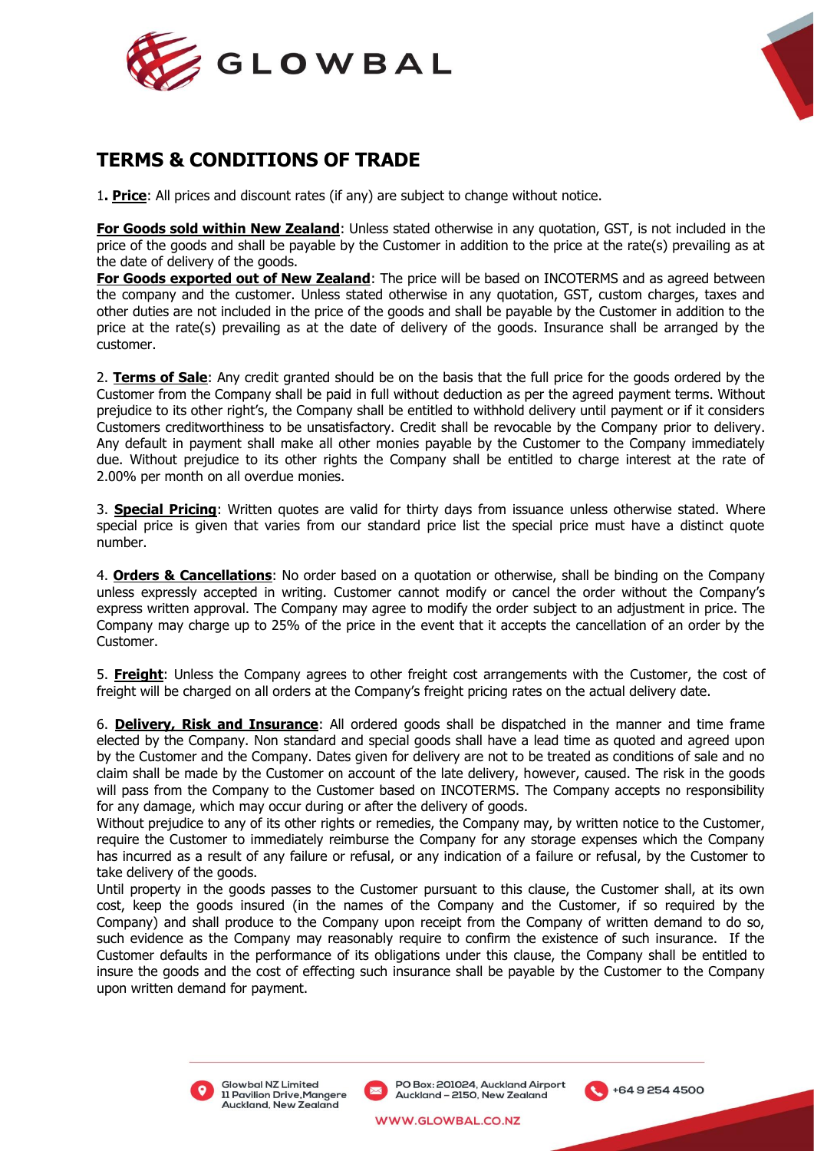



# **TERMS & CONDITIONS OF TRADE**

1**. Price**: All prices and discount rates (if any) are subject to change without notice.

**For Goods sold within New Zealand**: Unless stated otherwise in any quotation, GST, is not included in the price of the goods and shall be payable by the Customer in addition to the price at the rate(s) prevailing as at the date of delivery of the goods.

**For Goods exported out of New Zealand**: The price will be based on INCOTERMS and as agreed between the company and the customer. Unless stated otherwise in any quotation, GST, custom charges, taxes and other duties are not included in the price of the goods and shall be payable by the Customer in addition to the price at the rate(s) prevailing as at the date of delivery of the goods. Insurance shall be arranged by the customer.

2. **Terms of Sale**: Any credit granted should be on the basis that the full price for the goods ordered by the Customer from the Company shall be paid in full without deduction as per the agreed payment terms. Without prejudice to its other right's, the Company shall be entitled to withhold delivery until payment or if it considers Customers creditworthiness to be unsatisfactory. Credit shall be revocable by the Company prior to delivery. Any default in payment shall make all other monies payable by the Customer to the Company immediately due. Without prejudice to its other rights the Company shall be entitled to charge interest at the rate of 2.00% per month on all overdue monies.

3. **Special Pricing**: Written quotes are valid for thirty days from issuance unless otherwise stated. Where special price is given that varies from our standard price list the special price must have a distinct quote number.

4. **Orders & Cancellations**: No order based on a quotation or otherwise, shall be binding on the Company unless expressly accepted in writing. Customer cannot modify or cancel the order without the Company's express written approval. The Company may agree to modify the order subject to an adjustment in price. The Company may charge up to 25% of the price in the event that it accepts the cancellation of an order by the Customer.

5. **Freight**: Unless the Company agrees to other freight cost arrangements with the Customer, the cost of freight will be charged on all orders at the Company's freight pricing rates on the actual delivery date.

6. **Delivery, Risk and Insurance**: All ordered goods shall be dispatched in the manner and time frame elected by the Company. Non standard and special goods shall have a lead time as quoted and agreed upon by the Customer and the Company. Dates given for delivery are not to be treated as conditions of sale and no claim shall be made by the Customer on account of the late delivery, however, caused. The risk in the goods will pass from the Company to the Customer based on INCOTERMS. The Company accepts no responsibility for any damage, which may occur during or after the delivery of goods.

Without prejudice to any of its other rights or remedies, the Company may, by written notice to the Customer, require the Customer to immediately reimburse the Company for any storage expenses which the Company has incurred as a result of any failure or refusal, or any indication of a failure or refusal, by the Customer to take delivery of the goods.

Until property in the goods passes to the Customer pursuant to this clause, the Customer shall, at its own cost, keep the goods insured (in the names of the Company and the Customer, if so required by the Company) and shall produce to the Company upon receipt from the Company of written demand to do so, such evidence as the Company may reasonably require to confirm the existence of such insurance. If the Customer defaults in the performance of its obligations under this clause, the Company shall be entitled to insure the goods and the cost of effecting such insurance shall be payable by the Customer to the Company upon written demand for payment.



Glowbal NZ Limited **11 Pavilion Drive, Mangere** Auckland, New Zealand

PO Box: 201024, Auckland Airport Auckland - 2150, New Zealand

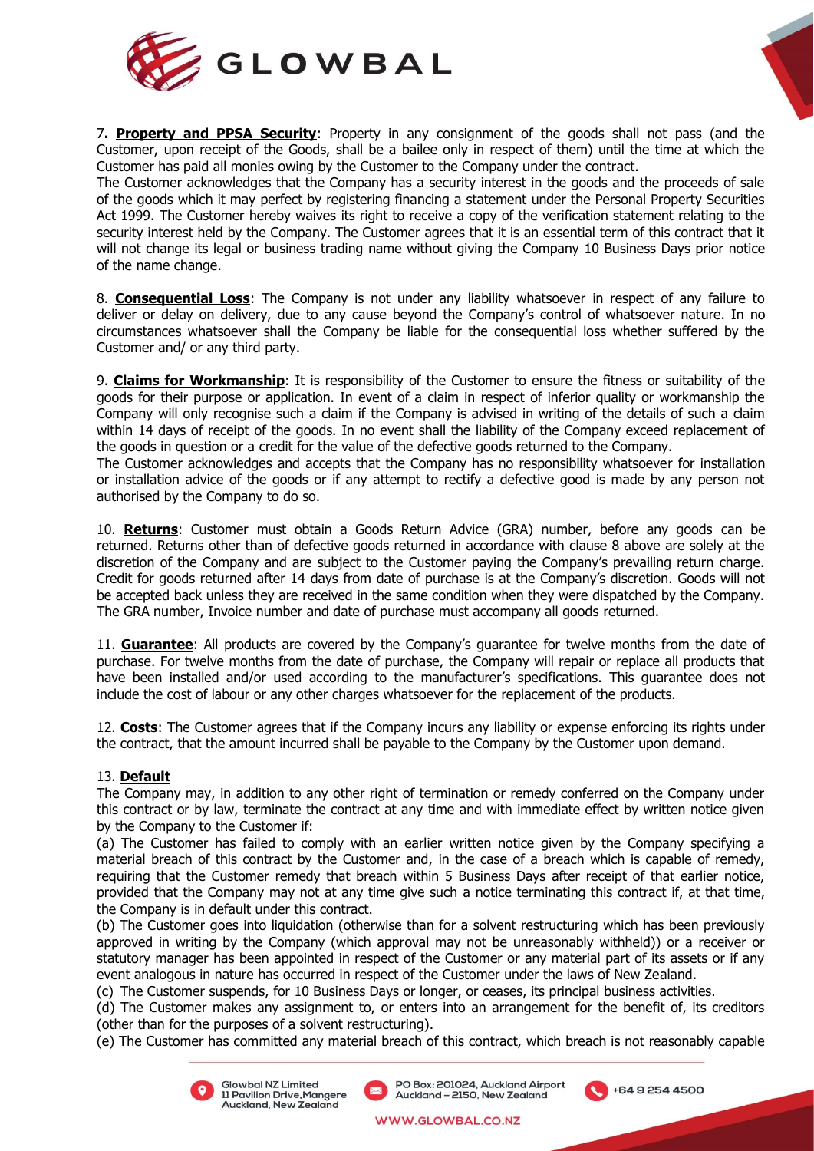



7**. Property and PPSA Security**: Property in any consignment of the goods shall not pass (and the Customer, upon receipt of the Goods, shall be a bailee only in respect of them) until the time at which the Customer has paid all monies owing by the Customer to the Company under the contract.

The Customer acknowledges that the Company has a security interest in the goods and the proceeds of sale of the goods which it may perfect by registering financing a statement under the Personal Property Securities Act 1999. The Customer hereby waives its right to receive a copy of the verification statement relating to the security interest held by the Company. The Customer agrees that it is an essential term of this contract that it will not change its legal or business trading name without giving the Company 10 Business Days prior notice of the name change.

8. **Consequential Loss**: The Company is not under any liability whatsoever in respect of any failure to deliver or delay on delivery, due to any cause beyond the Company's control of whatsoever nature. In no circumstances whatsoever shall the Company be liable for the consequential loss whether suffered by the Customer and/ or any third party.

9. **Claims for Workmanship**: It is responsibility of the Customer to ensure the fitness or suitability of the goods for their purpose or application. In event of a claim in respect of inferior quality or workmanship the Company will only recognise such a claim if the Company is advised in writing of the details of such a claim within 14 days of receipt of the goods. In no event shall the liability of the Company exceed replacement of the goods in question or a credit for the value of the defective goods returned to the Company.

The Customer acknowledges and accepts that the Company has no responsibility whatsoever for installation or installation advice of the goods or if any attempt to rectify a defective good is made by any person not authorised by the Company to do so.

10. **Returns**: Customer must obtain a Goods Return Advice (GRA) number, before any goods can be returned. Returns other than of defective goods returned in accordance with clause 8 above are solely at the discretion of the Company and are subject to the Customer paying the Company's prevailing return charge. Credit for goods returned after 14 days from date of purchase is at the Company's discretion. Goods will not be accepted back unless they are received in the same condition when they were dispatched by the Company. The GRA number, Invoice number and date of purchase must accompany all goods returned.

11. **Guarantee**: All products are covered by the Company's guarantee for twelve months from the date of purchase. For twelve months from the date of purchase, the Company will repair or replace all products that have been installed and/or used according to the manufacturer's specifications. This guarantee does not include the cost of labour or any other charges whatsoever for the replacement of the products.

12. **Costs**: The Customer agrees that if the Company incurs any liability or expense enforcing its rights under the contract, that the amount incurred shall be payable to the Company by the Customer upon demand.

## 13. **Default**

The Company may, in addition to any other right of termination or remedy conferred on the Company under this contract or by law, terminate the contract at any time and with immediate effect by written notice given by the Company to the Customer if:

(a) The Customer has failed to comply with an earlier written notice given by the Company specifying a material breach of this contract by the Customer and, in the case of a breach which is capable of remedy, requiring that the Customer remedy that breach within 5 Business Days after receipt of that earlier notice, provided that the Company may not at any time give such a notice terminating this contract if, at that time, the Company is in default under this contract.

(b) The Customer goes into liquidation (otherwise than for a solvent restructuring which has been previously approved in writing by the Company (which approval may not be unreasonably withheld)) or a receiver or statutory manager has been appointed in respect of the Customer or any material part of its assets or if any event analogous in nature has occurred in respect of the Customer under the laws of New Zealand.

(c) The Customer suspends, for 10 Business Days or longer, or ceases, its principal business activities.

(d) The Customer makes any assignment to, or enters into an arrangement for the benefit of, its creditors (other than for the purposes of a solvent restructuring).

(e) The Customer has committed any material breach of this contract, which breach is not reasonably capable





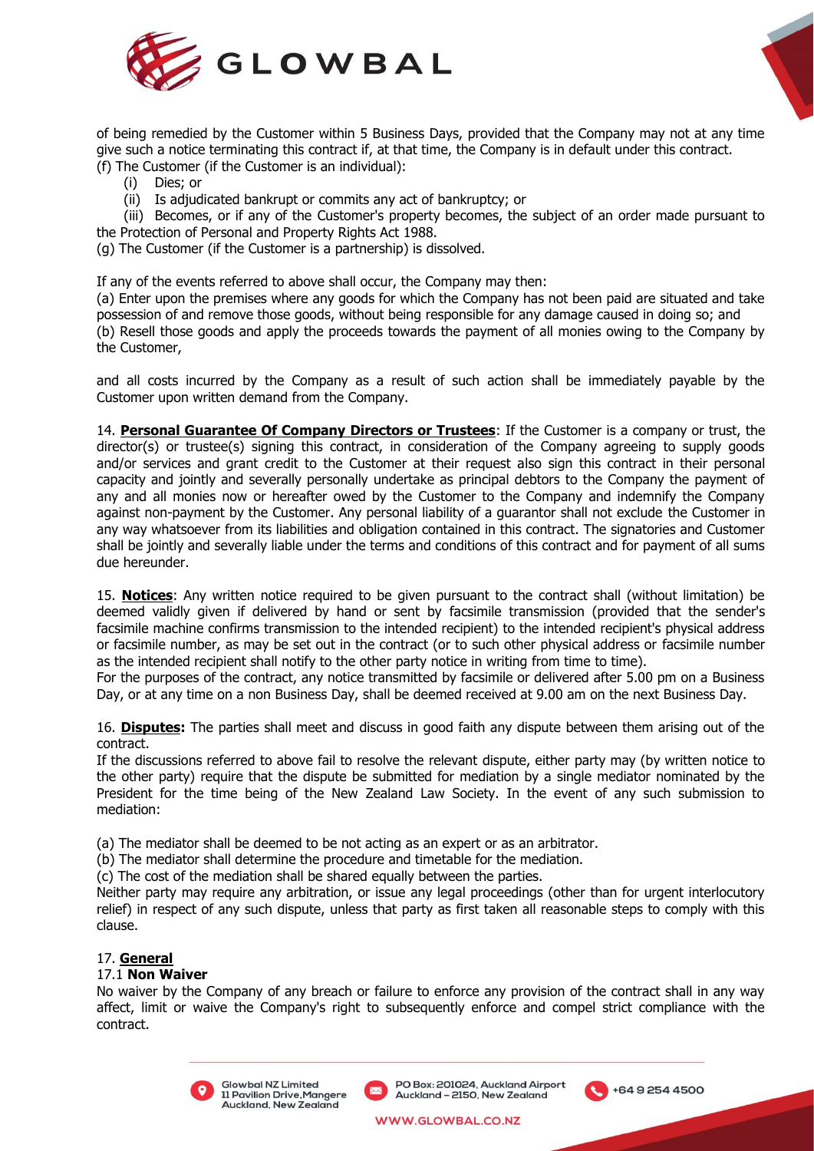



of being remedied by the Customer within 5 Business Days, provided that the Company may not at any time give such a notice terminating this contract if, at that time, the Company is in default under this contract. (f) The Customer (if the Customer is an individual):

- (i) Dies; or
	- (ii) Is adjudicated bankrupt or commits any act of bankruptcy; or

(iii) Becomes, or if any of the Customer's property becomes, the subject of an order made pursuant to the Protection of Personal and Property Rights Act 1988.

(g) The Customer (if the Customer is a partnership) is dissolved.

If any of the events referred to above shall occur, the Company may then:

(a) Enter upon the premises where any goods for which the Company has not been paid are situated and take possession of and remove those goods, without being responsible for any damage caused in doing so; and (b) Resell those goods and apply the proceeds towards the payment of all monies owing to the Company by the Customer,

and all costs incurred by the Company as a result of such action shall be immediately payable by the Customer upon written demand from the Company.

14. **Personal Guarantee Of Company Directors or Trustees**: If the Customer is a company or trust, the director(s) or trustee(s) signing this contract, in consideration of the Company agreeing to supply goods and/or services and grant credit to the Customer at their request also sign this contract in their personal capacity and jointly and severally personally undertake as principal debtors to the Company the payment of any and all monies now or hereafter owed by the Customer to the Company and indemnify the Company against non-payment by the Customer. Any personal liability of a guarantor shall not exclude the Customer in any way whatsoever from its liabilities and obligation contained in this contract. The signatories and Customer shall be jointly and severally liable under the terms and conditions of this contract and for payment of all sums due hereunder.

15. **Notices**: Any written notice required to be given pursuant to the contract shall (without limitation) be deemed validly given if delivered by hand or sent by facsimile transmission (provided that the sender's facsimile machine confirms transmission to the intended recipient) to the intended recipient's physical address or facsimile number, as may be set out in the contract (or to such other physical address or facsimile number as the intended recipient shall notify to the other party notice in writing from time to time).

For the purposes of the contract, any notice transmitted by facsimile or delivered after 5.00 pm on a Business Day, or at any time on a non Business Day, shall be deemed received at 9.00 am on the next Business Day.

16. **Disputes:** The parties shall meet and discuss in good faith any dispute between them arising out of the contract.

If the discussions referred to above fail to resolve the relevant dispute, either party may (by written notice to the other party) require that the dispute be submitted for mediation by a single mediator nominated by the President for the time being of the New Zealand Law Society. In the event of any such submission to mediation:

(a) The mediator shall be deemed to be not acting as an expert or as an arbitrator.

(b) The mediator shall determine the procedure and timetable for the mediation.

(c) The cost of the mediation shall be shared equally between the parties.

Neither party may require any arbitration, or issue any legal proceedings (other than for urgent interlocutory relief) in respect of any such dispute, unless that party as first taken all reasonable steps to comply with this clause.

## 17. **General**

## 17.1 **Non Waiver**

No waiver by the Company of any breach or failure to enforce any provision of the contract shall in any way affect, limit or waive the Company's right to subsequently enforce and compel strict compliance with the contract.



Glowbal NZ Limited 11 Pavilion Drive, Mangere Auckland, New Zealand